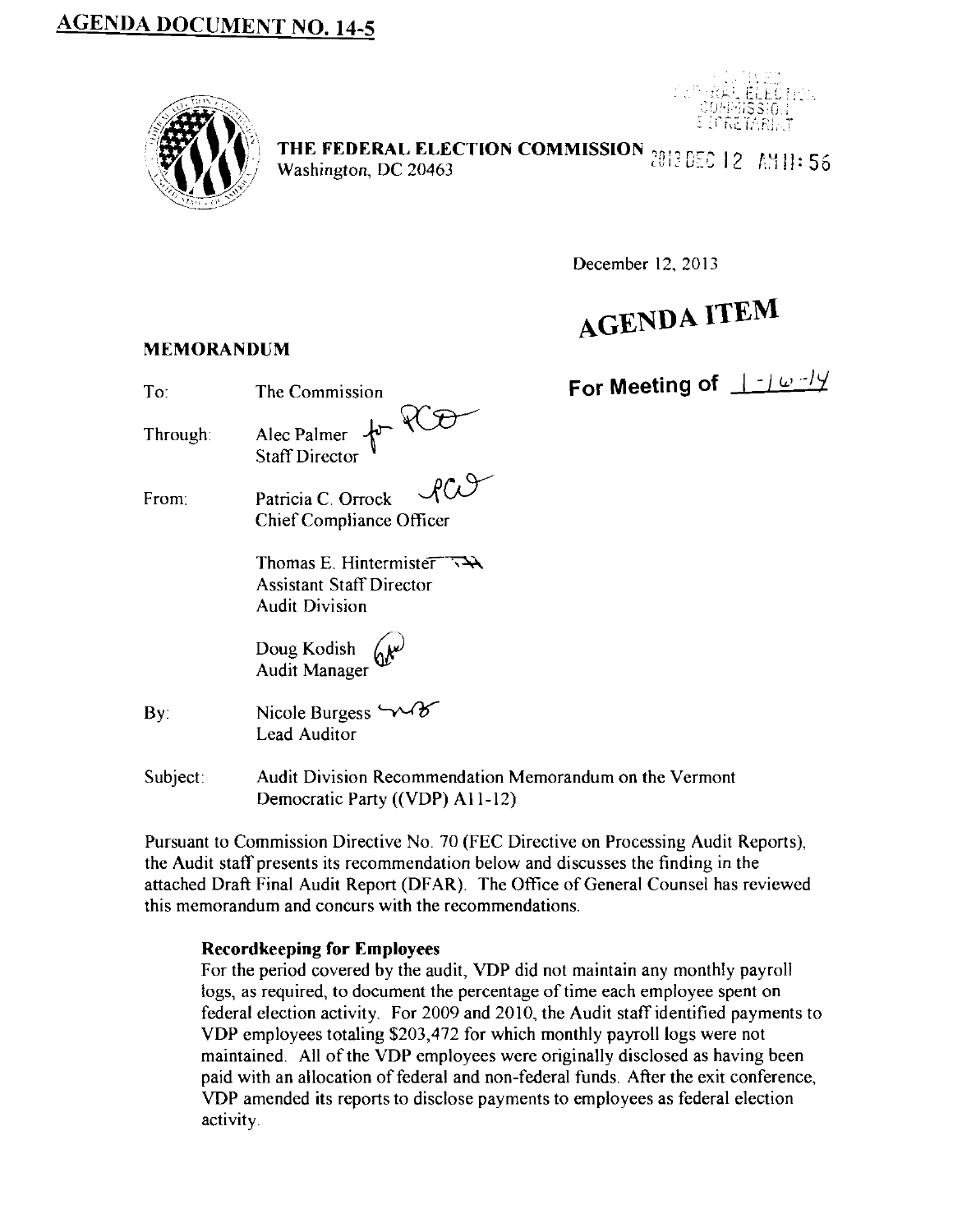## **AGENDA DOCUMENT NO. 14-5**





THE FEDERAL ELECTION COMMISSION <sub>2013</sub> DEC 12 AM11: 56<br>Washington: DC 20463 THE FEDERAL ELECTION COMMISSION  $201305012$   $\pm 111356$ <br>Washington, DC 20463

December 12, 2013

# **AGENDA ITEM**

**MEMORANDUM** 

| To:      | The Commission                                                                                         | For Meeting of $\pm$ -16-19 |
|----------|--------------------------------------------------------------------------------------------------------|-----------------------------|
| Through: | Alec Palmer for VCO                                                                                    |                             |
| From:    | Patricia C. Orrock<br>Chief Compliance Officer                                                         |                             |
|          | Thomas E. Hintermister $\nabla \mathbf{A}$<br><b>Assistant Staff Director</b><br><b>Audit Division</b> |                             |
|          | Doug Kodish (N <sup>v)</sup><br>Audit Manager                                                          |                             |
| By.      | Nicole Burgess $\sim$<br>Lead Auditor                                                                  |                             |
| Subject: | Audit Division Recommendation Memorandum on the Vermont<br>Democratic Party ((VDP) A11-12)             |                             |

Pursuant to Commission Directive No. 70 (FEC Directive on Processing Audit Reports), the Audit staff presents its recommendation below and discusses the finding in the attached Draft Final Audit Report (DFAR). The Office of General Counsel has reviewed this memorandum and concurs with the recommendations.

#### **Record keeping for Employees**

For the period covered by the audit, VDP did not maintain any monthly payroll logs, as required, to document the percentage of time each employee spent on federal election activity. For 2009 and 2010, the Audit staff identified payments to VDP employees totaling \$203,472 for which monthly payroll logs were not maintained. All of the VDP employees were originally disclosed as having been paid with an allocation of federal and non-federal funds After the exit conference, VDP amended its reports to disclose payments to employees as federal election activity.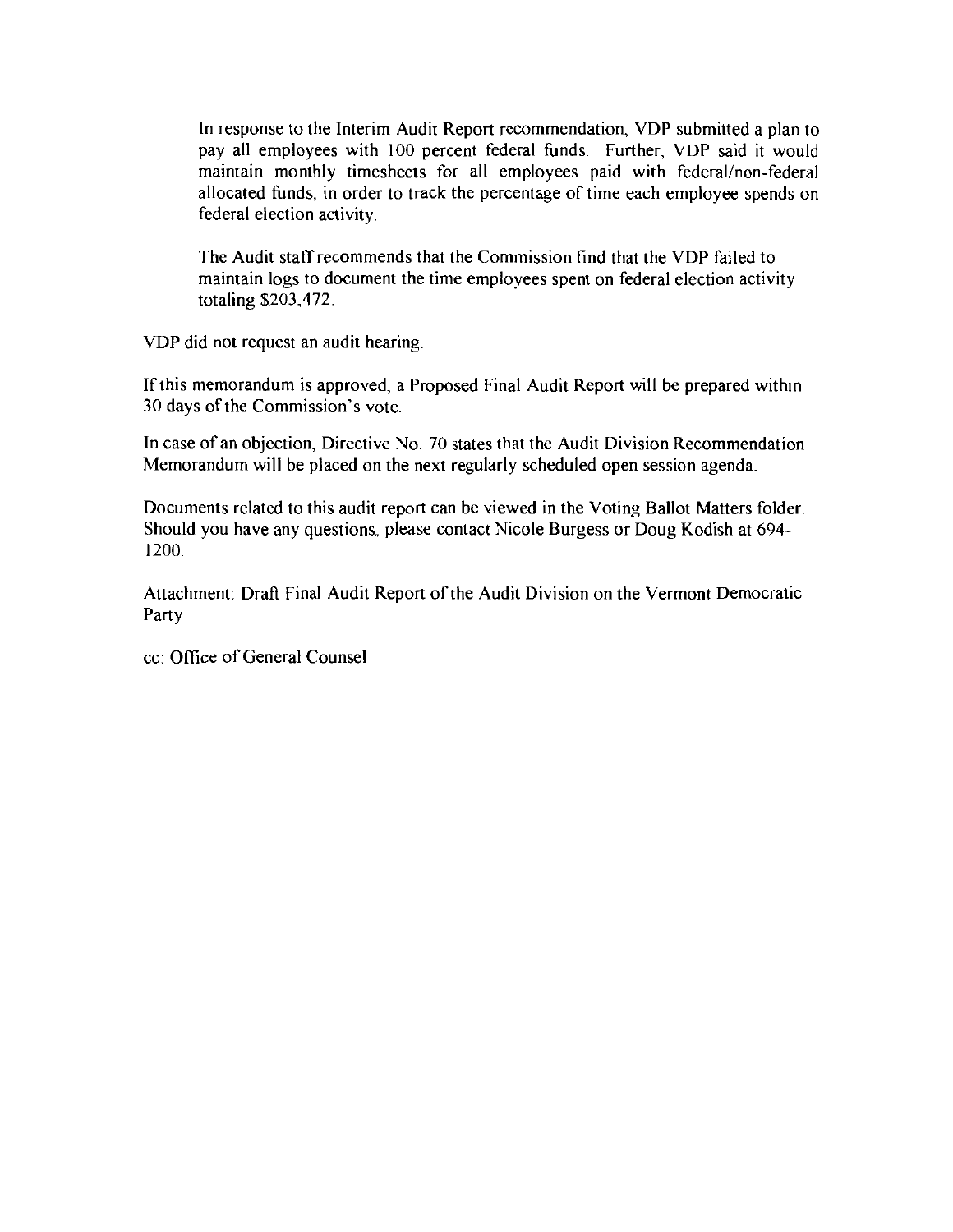In response to the Interim Audit Report recommendation, VDP submitted a plan to pay all employees with 100 percent federal funds. Further, VDP said it would maintain monthly timesheets for all employees paid with federal/non-federal allocated funds, in order to track the percentage of time each employee spends on federal election activity

The Audit staff recommends that the Commission find that the VDP failed to maintain logs to document the time employees spent on federal election activity totaling \$203,472.

VDP did not request an audit hearing.

If this memorandum is approved, a Proposed Final Audit Report will be prepared within 30 days of the Commission's vote.

In case of an objection, Directive No. 70 states that the Audit Division Recommendation Memorandum will be placed on the next regularly scheduled open session agenda.

Documents related to this audit report can be viewed in the Voting Ballot Matters folder. Should you have any questions, please contact Nicole Burgess or Doug Kodish at 694- 1200.

Attachment: Draft Final Audit Report of the Audit Division on the Vermont Democratic Party

cc: Office of General Counsel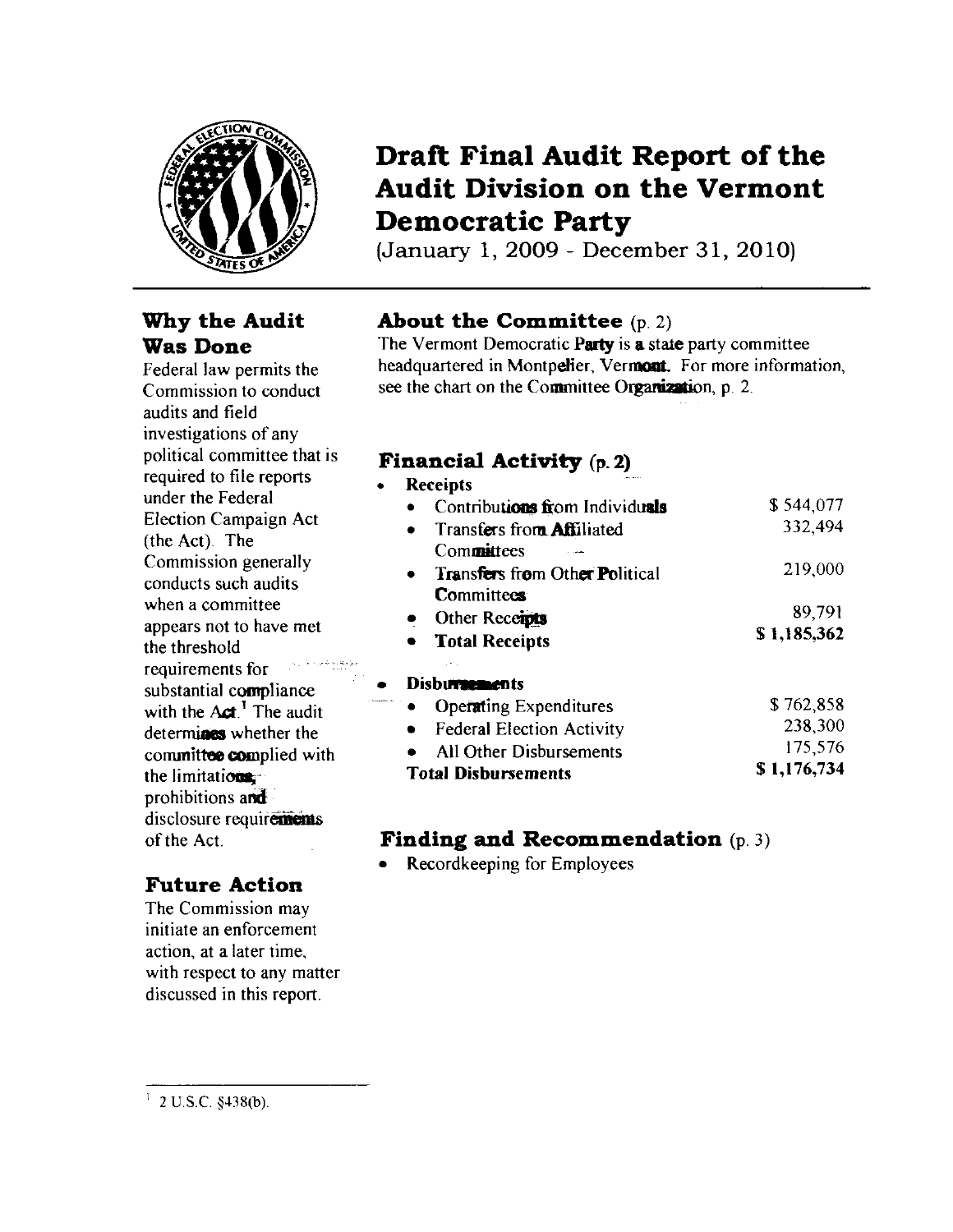

### **Why the Audit Was Done**

Federal law permits the Commission to conduct audits and field investigations of any political committee that is required to file reports under the Federal Election Campaign Act (the Act). The Commission generally conducts such audits when a committee appears not to have met the threshold requirements for substantial compliance with the  $Act$ .<sup>1</sup> The audit determines whether the committee complied with the limitations. prohibitions and disclosure requirements of the Act

### **Future Action**

The Commission may initiate an enforcement action, at a later time, with respect to any matter discussed in this report.

## **Draft Final Audit Report of the Audit Division on the Vermont Democratic Party**

(January 1, 2009- December 31, 2010)

### **About the Committee** (p. 2)

The Vermont Democratic Party is **a** state party committee headquartered in Montpelier, Vermont. For more information, see the chart on the Committee Organization, p. 2.

### **Financial Activity** (p. **2)**

| <b>Receipts</b>                       |             |
|---------------------------------------|-------------|
| Contributions from Individuals        | \$544,077   |
| Transfers from <b>Affiliated</b>      | 332,494     |
| Committees                            |             |
| <b>Transfers from Other Political</b> | 219,000     |
| <b>Committees</b>                     |             |
| Other Receipts                        | 89,791      |
| <b>Total Receipts</b>                 | \$1,185,362 |
| Disburnements                         |             |
| <b>Operating Expenditures</b>         | \$762,858   |
| <b>Federal Election Activity</b>      | 238,300     |
| All Other Disbursements               | 175,576     |
|                                       |             |

Total Disbursements \$ 1,176,734

### **Finding and Recommendation** (p. 3)

Recordkeeping for Employees

<sup>&</sup>lt;sup>1</sup> 2 U S C §438(b).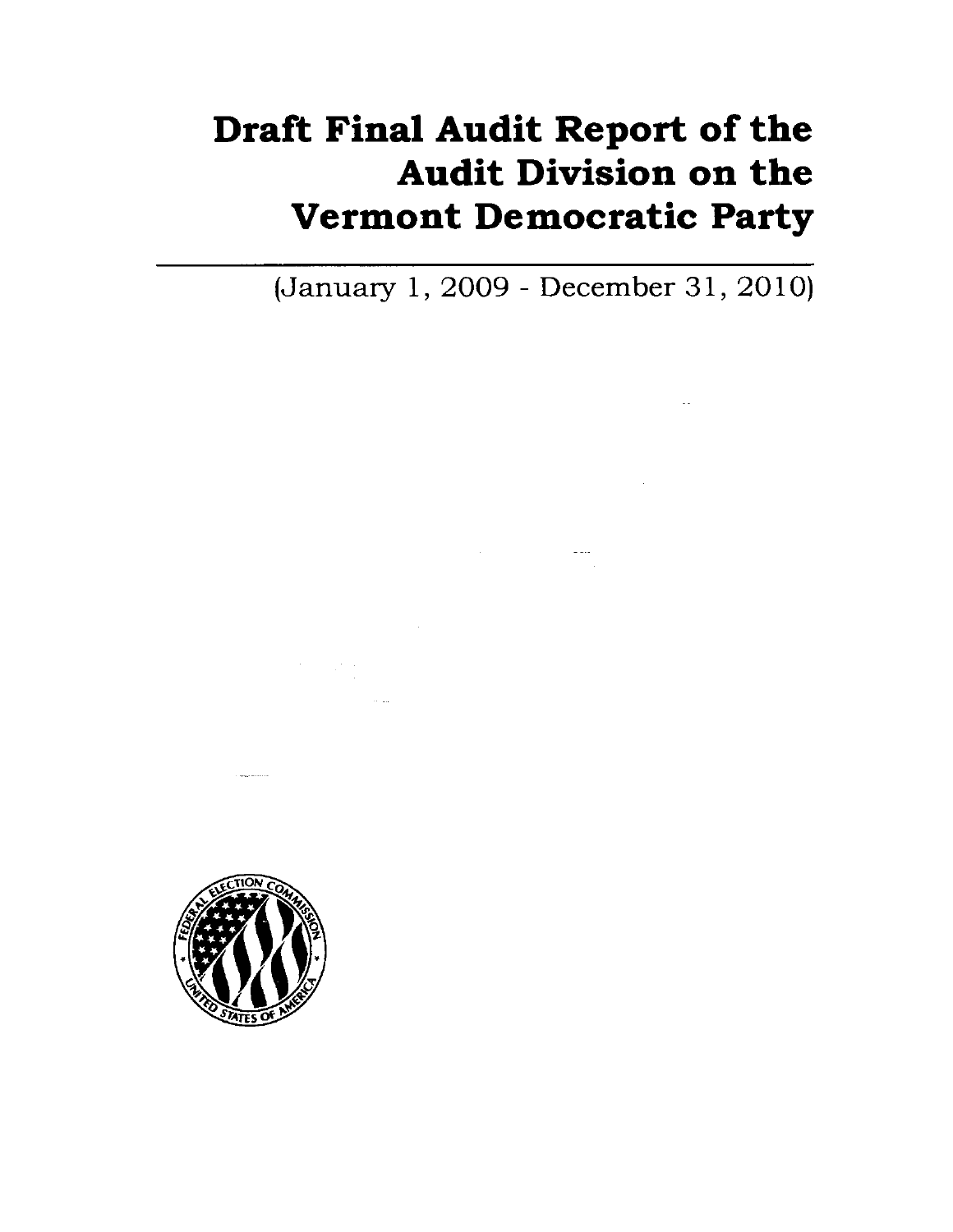# **Draft Final Audit Report of the Audit Division on the Vermont Democratic Party**

 $\mathcal{L}^{\mathcal{L}}(\mathcal{L}^{\mathcal{L}})$  and  $\mathcal{L}^{\mathcal{L}}(\mathcal{L}^{\mathcal{L}})$  . In the contract of the contract of

 $\mathcal{L}^{\text{max}}_{\text{max}}$  ,  $\mathcal{L}^{\text{max}}_{\text{max}}$ 

(January 1, 2009 - December 31, 2010)



 $\sim$  and  $\sim$   $\sim$   $\sim$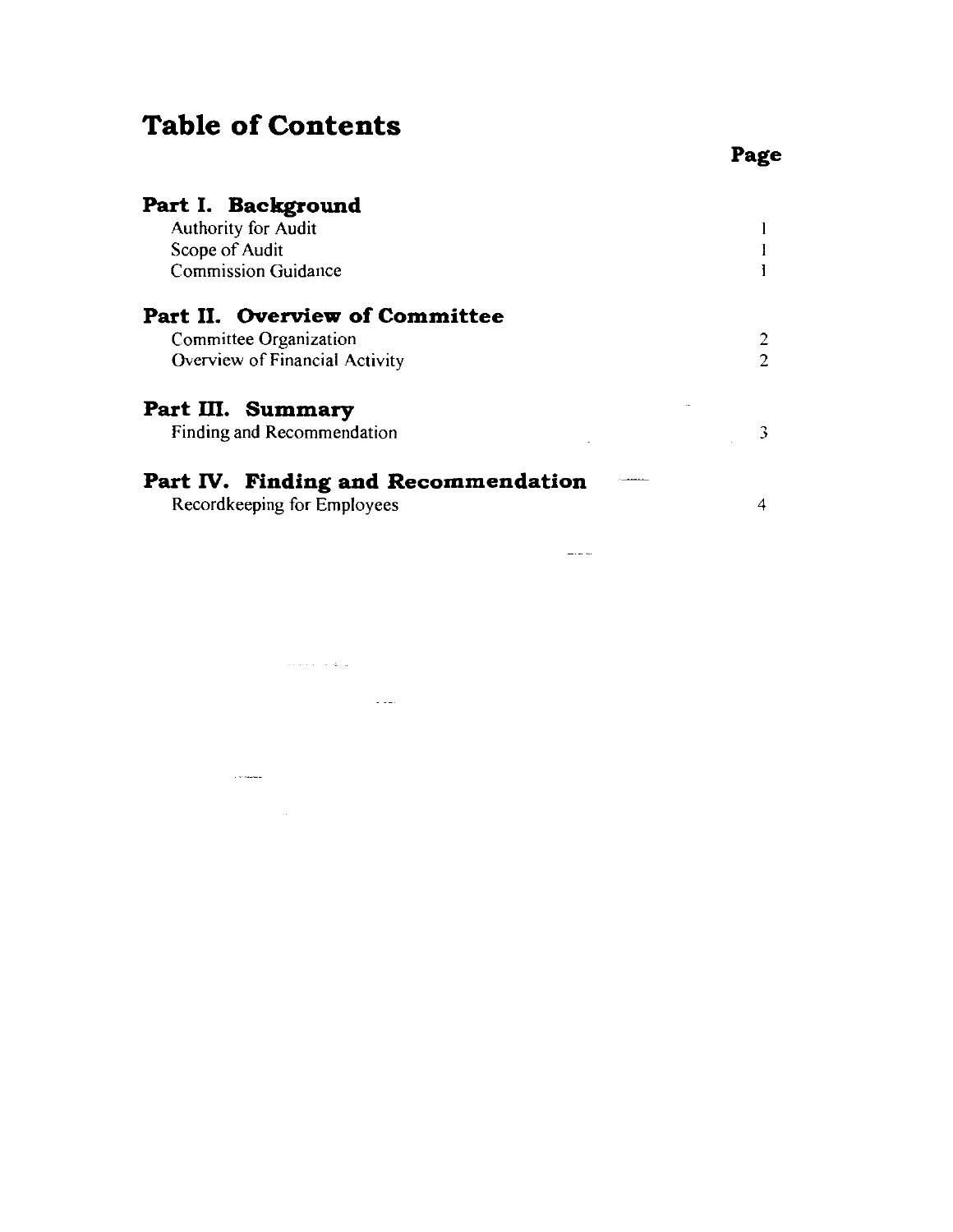## **Table of Contents**

and a construction

 $\sim 10^{10}$  Walandahan

 $\mathcal{L}_{\text{max}}$  and  $\mathcal{L}_{\text{max}}$ 

 $\mathcal{L}_{\mathcal{A}}$  and  $\mathcal{L}_{\mathcal{A}}$  and  $\mathcal{L}_{\mathcal{A}}$ 

| Part I. Background                  |  |
|-------------------------------------|--|
| Authority for Audit                 |  |
| Scope of Audit<br>2<br>2<br>3       |  |
| <b>Commission Guidance</b>          |  |
| Part II. Overview of Committee      |  |
| Committee Organization              |  |
| Overview of Financial Activity      |  |
| Part III. Summary                   |  |
| Finding and Recommendation          |  |
| Part IV. Finding and Recommendation |  |
| Recordkeeping for Employees         |  |

 $\frac{1}{2}$  .  $\frac{1}{2}$  .

**Page**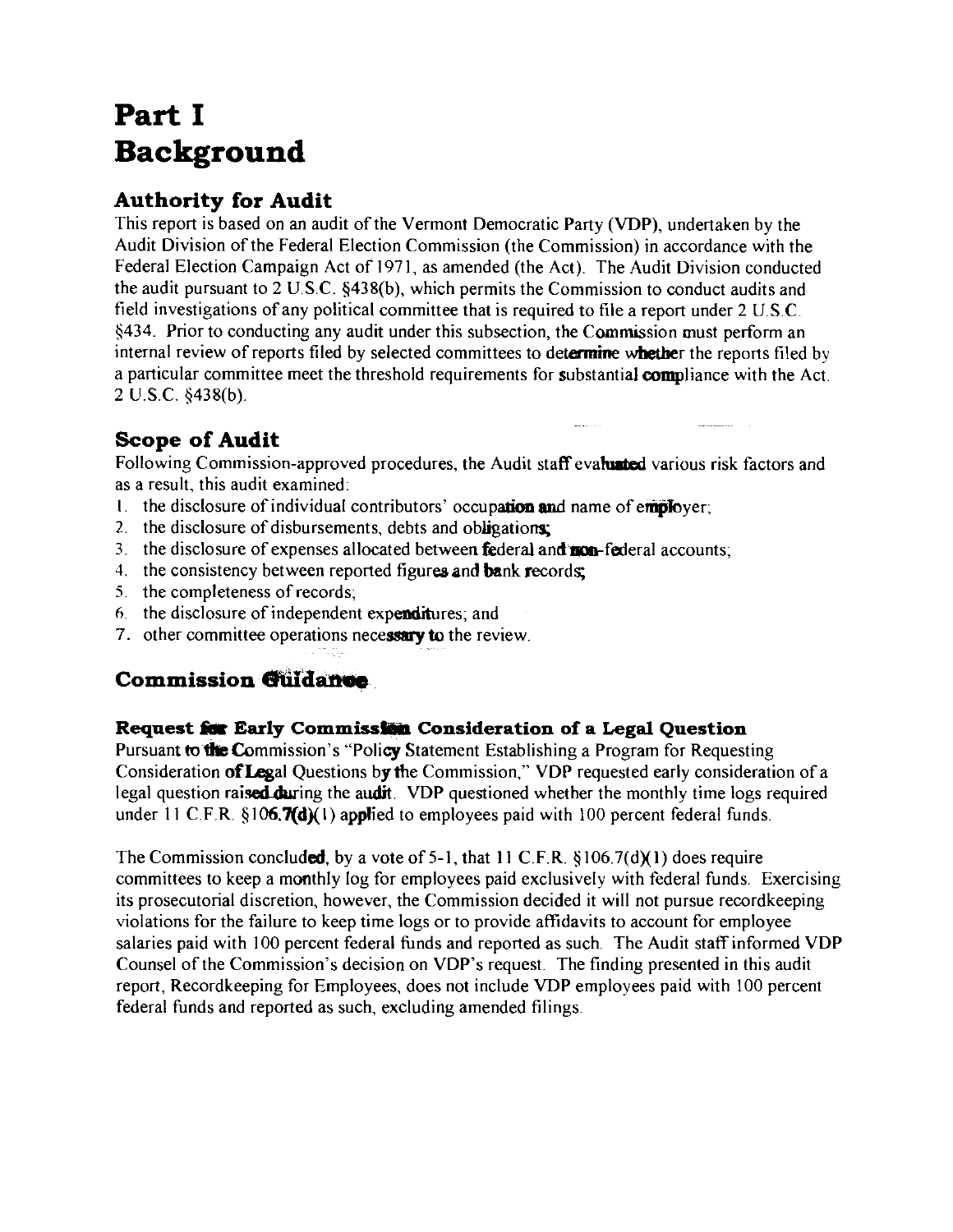## **Part I Background**

### **Authority for Audit**

This report is based on an audit of the Vermont Democratic Party (VDP), undertaken by the Audit Division of the Federal Election Commission (the Commission) in accordance with the Federal Election Campaign Act of 1971, as amended (the Act). The Audit Division conducted the audit pursuant to 2 U.S.C. §438(b), which permits the Commission to conduct audits and field investigations of any political committee that is required to file a report under  $2 \text{ U.S.C.}$ §434. Prior to conducting any audit under this subsection, the Commission must perform an internal review of reports filed by selected committees to determine whether the reports filed by a particular committee meet the threshold requirements for substantial compliance with the Act. 2 U.S.C. §438(b).

## **Scope of Audit**

Following Commission-approved procedures, the Audit staff evaluated various risk factors and as a result, this audit examined:

- 1. the disclosure of individual contributors' occupation and name of employer;
- 2. the disclosure of disbursements, debts and obligations;
- 3. the disclosure of expenses allocated between **federal and mon-federal accounts**;
- 4. the consistency between reported figures and bank records;
- 5. the completeness of records;
- 6. the disclosure of independent expenditures; and
- 7. other committee operations necessary to the review.

## **Commission Guidance**

### **Request for Early Commission Consideration of a Legal Question**

Pursuant to the Commission's "Policy Statement Establishing a Program for Requesting Consideration ofLegal Questions by the Commission," VDP requested early consideration of a legal question raised during the audit. VDP questioned whether the monthly time logs required under 11 C.F.R.  $\S106.7(d)(1)$  applied to employees paid with 100 percent federal funds.

The Commission concluded, by a vote of 5-1, that 11 C.F.R.  $\S 106.7(d)$  (1) does require committees to keep a monthly log for employees paid exclusively with federal funds. Exercising its prosecutorial discretion, however, the Commission decided it will not pursue recordkeeping violations for the failure to keep time logs or to provide affidavits to account for employee salaries paid with 100 percent federal funds and reported as such. The Audit staff informed VDP Counsel of the Commission's decision on VDP's request. The finding presented in this audit report, Recordkeeping for Employees, does not include VDP employees paid with 100 percent federal funds and reported as such, excluding amended filings.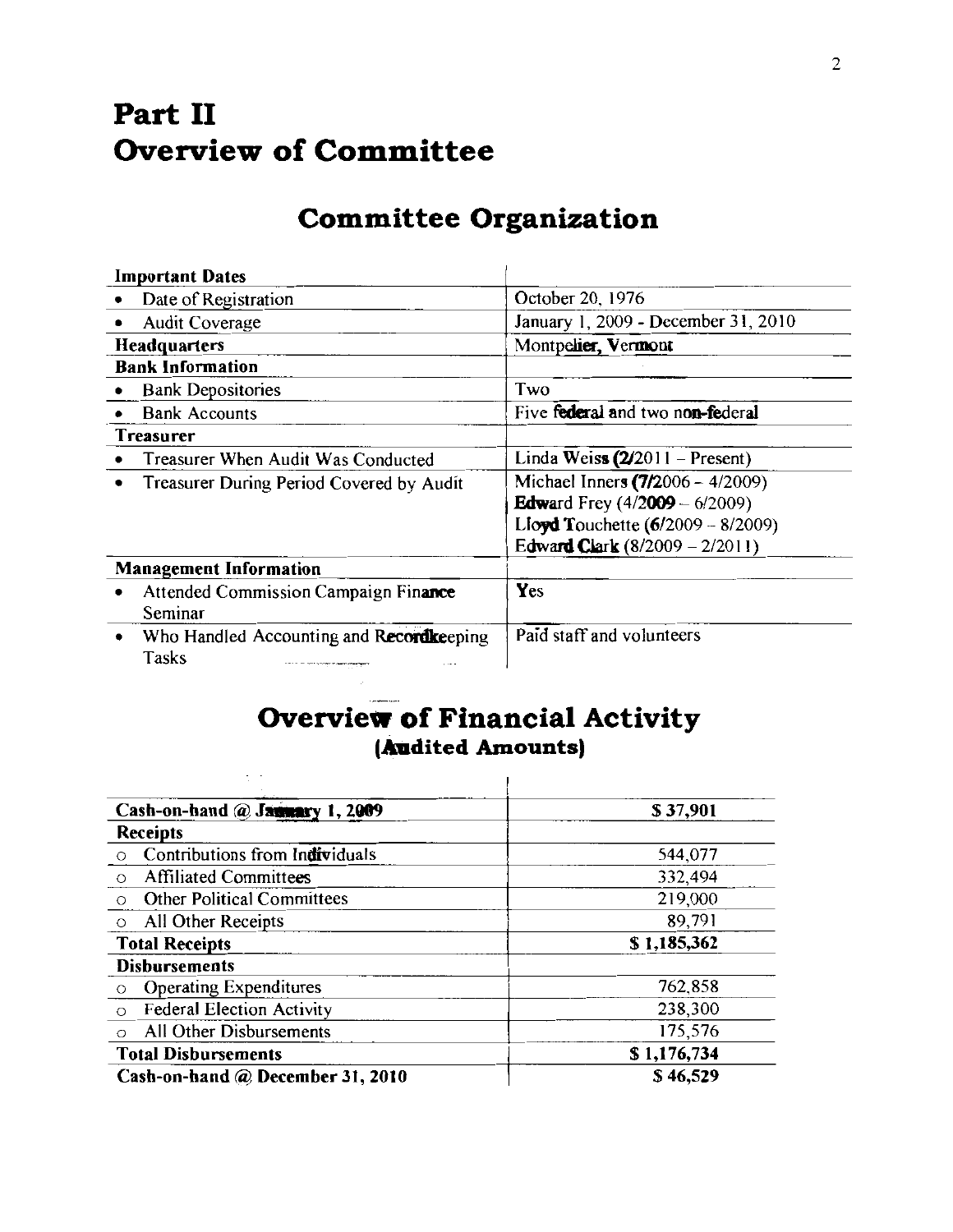## **Part II Overview of Committee**

## **Committee Organization**

|              | <b>Important Dates</b>                                                                                                                       |                                                                                                                                                       |
|--------------|----------------------------------------------------------------------------------------------------------------------------------------------|-------------------------------------------------------------------------------------------------------------------------------------------------------|
|              | Date of Registration                                                                                                                         | October 20, 1976                                                                                                                                      |
|              | Audit Coverage                                                                                                                               | January 1, 2009 - December 31, 2010                                                                                                                   |
| Headquarters |                                                                                                                                              | Montpelier, Vermont                                                                                                                                   |
|              | <b>Bank Information</b>                                                                                                                      |                                                                                                                                                       |
|              | <b>Bank Depositories</b>                                                                                                                     | Two                                                                                                                                                   |
|              | <b>Bank Accounts</b>                                                                                                                         | Five federal and two non-federal                                                                                                                      |
|              | <b>Treasurer</b>                                                                                                                             |                                                                                                                                                       |
|              | Treasurer When Audit Was Conducted                                                                                                           | Linda Weiss $(2/2011 -$ Present)                                                                                                                      |
|              | Treasurer During Period Covered by Audit                                                                                                     | Michael Inners (7/2006 - 4/2009)<br><b>Edward</b> Frey $(4/2009 - 6/2009)$<br>Lloyd Touchette $(6/2009 - 8/2009)$<br>Edward Clark $(8/2009 - 2/2011)$ |
|              | <b>Management Information</b>                                                                                                                |                                                                                                                                                       |
|              | Attended Commission Campaign Finance<br>Seminar                                                                                              | Yes                                                                                                                                                   |
|              | Who Handled Accounting and Recordkeeping<br>Tasks<br>a state of the court a monthly the more entire of any<br>$\alpha$ , $\alpha$ , $\alpha$ | Paid staff and volunteers                                                                                                                             |

## **Overview of Financial Activity (Audited Amounts)**

| \$37,901    |
|-------------|
|             |
| 544,077     |
| 332,494     |
| 219,000     |
| 89,791      |
| \$1,185,362 |
|             |
| 762,858     |
| 238,300     |
| 175,576     |
| \$1,176,734 |
| \$46,529    |
|             |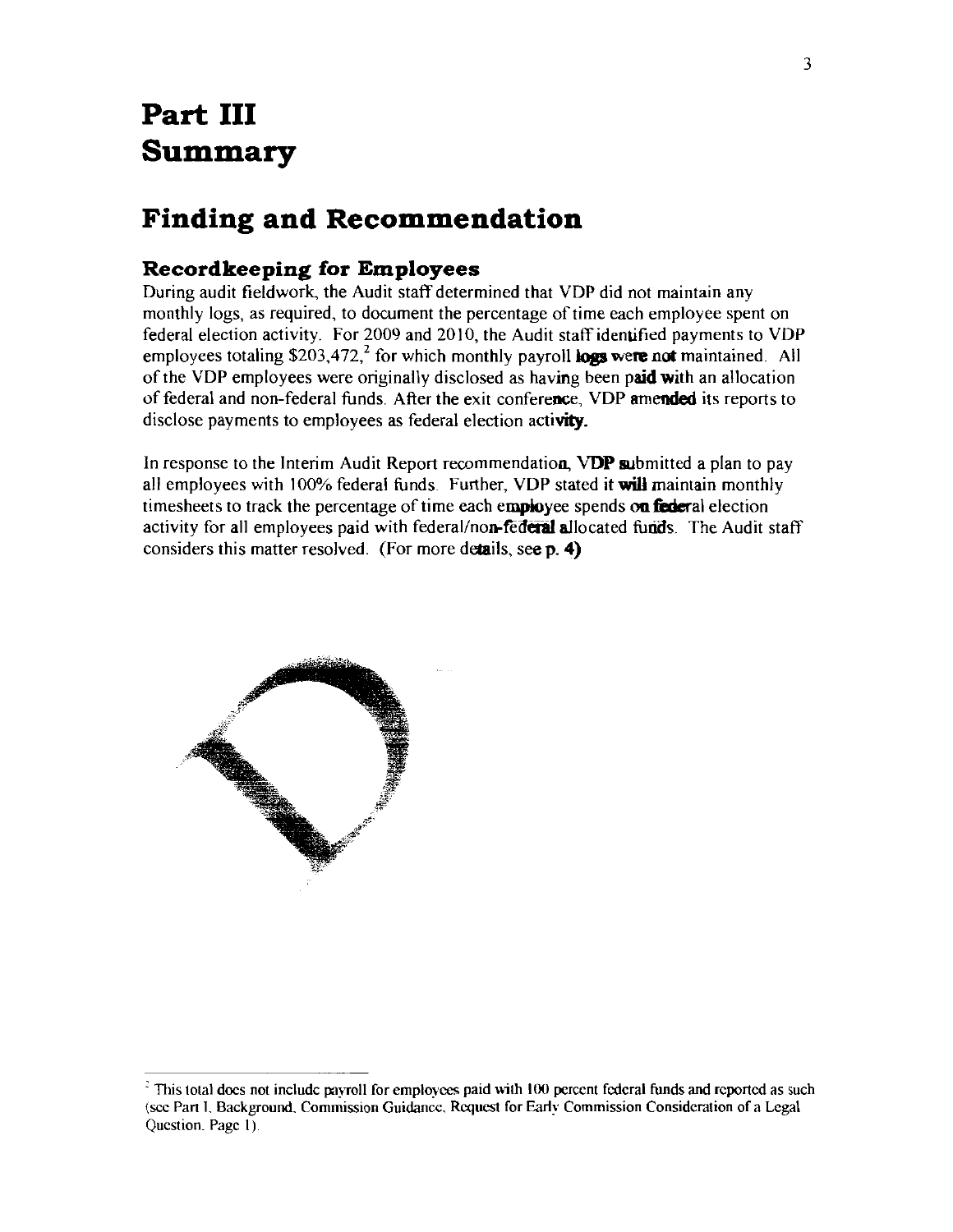## **Part III Summary**

## **Finding and Recommendation**

#### **Recordkeeping for Employees**

During audit fieldwork, the Audit staff determined that VDP did not maintain any monthly logs, as required, to document the percentage of time each employee spent on federal election activity. For 2009 and 2010, the Audit staff identified payments to VDP employees totaling  $$203,472,^2$  for which monthly payroll logs were not maintained. All of the VDP employees were originally disclosed as having been paid with an allocation of federal and non-federal funds After the exit conference, VDP amended its reports to disclose payments to employees as federal election activity.

In response to the Interim Audit Report recommendation, VDP submitted a plan to pay all employees with 100% federal funds. Further, VDP stated it will maintain monthly timesheets to track the percentage of time each employee spends on federal election activity for all employees paid with federal/non-federal allocated funds. The Audit staff considers this matter resolved. (For more details, see p. 4)



<sup>&</sup>lt;sup>2</sup> This total does not include payroll for employees paid with 100 percent federal funds and reported as such (sec Part l. Background. Commission Guidance. Request for Earl~· Commission Consideration of a Legal Question. Page 1).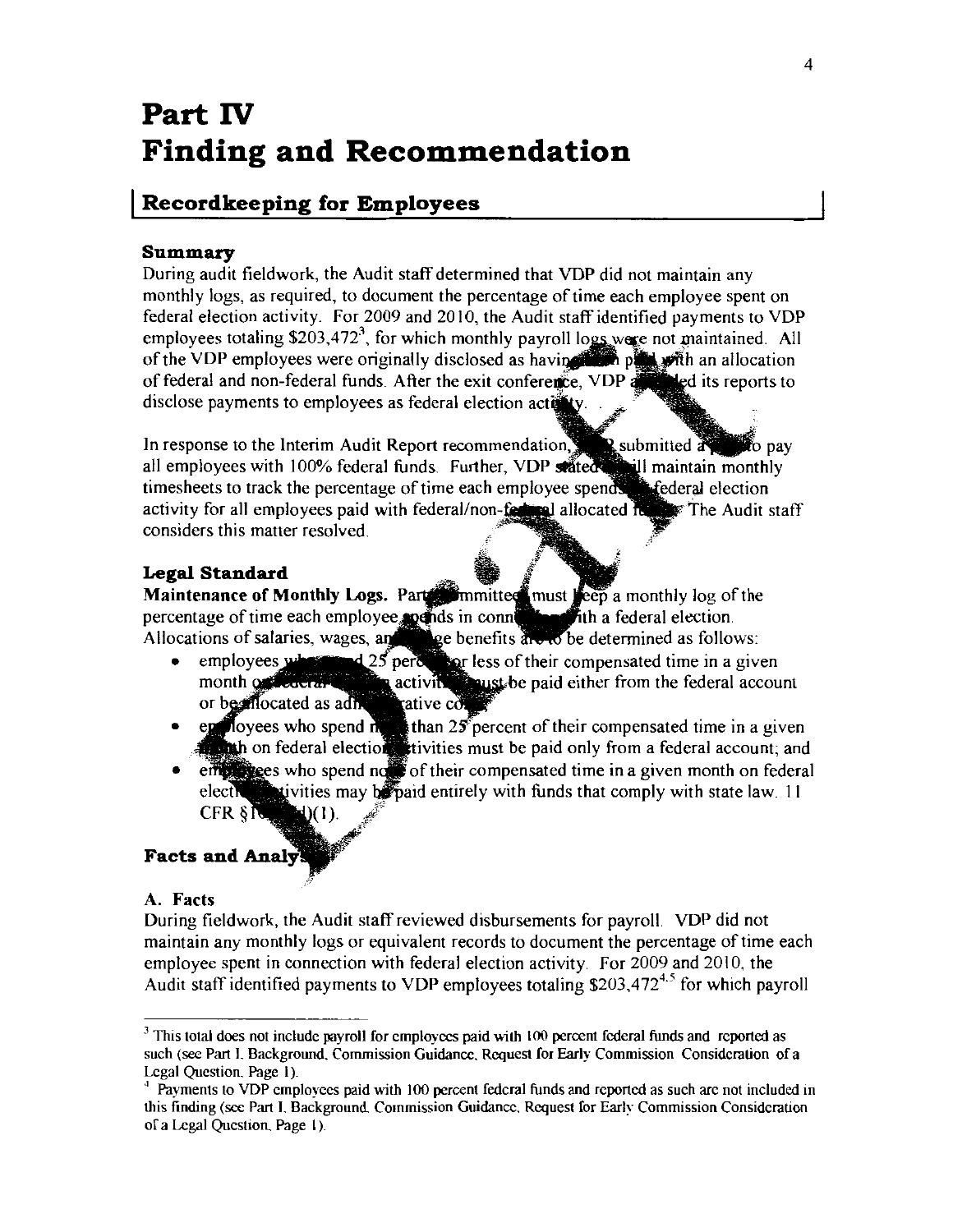## **Part IV Finding and Recommendation**

### I **Recordkeeping for Employees**

#### **Summary**

During audit fieldwork, the Audit staff determined that VDP did not maintain any monthly logs, as required, to document the percentage of time each employee spent on federal election activity. For 2009 and 2010, the Audit staff identified payments to VDP employees totaling \$203,472<sup>3</sup>, for which monthly payroll logs were not maintained. All of the VDP employees were originally disclosed as having the post with an allocation of federal and non-federal funds. After the exit conference, VDP and ed its reports to disclose payments to employees as federal election activity

**to** pay In response to the Interim Audit Report recommendation, all employees with 100% federal funds. Further, VDP timesheets to track the percentage of time each employee activity for all employees paid with federal/non-federal allocated its The Audit staff considers this matter resolved.

#### **Legal Standard**

Maintenance of Monthly Logs. Part in must can must seep a monthly log of the percentage of time each employee $_i$ Allocations of salaries, wages, a federal election. determined as follows

- emp month less of their compensated time in a given paid either from the federal account
- $\mathcal{S}$  percent of their compensated time in a given vities must be paid only from a federal account; and
- error excess who spend not of their compensated time in a given month on federal • stivities may be paid entirely with funds that comply with state law. 11  $electr$ CFR  $\S$   $\mathbb{R}$   $\Box$   $\Box$   $(1)$ .

#### **Facts and Analy!**

#### A. Facts

During fieldwork, the Audit staff reviewed disbursements for payroll. VDP did not maintain any monthly logs or equivalent records to document the percentage of time each employee spent in connection with federal election activity. For 2009 and 2010, the Audit staff identified payments to VDP employees totaling  $$203,472<sup>4,5</sup>$  for which payroll

<sup>&</sup>lt;sup>3</sup> This total does not include payroll for employees paid with 100 percent federal funds and reported as such (see Part L Background. Commission Guidance. Request for Early Commission Consideration of a Legal Question. Page I).

Payments to VDP employees paid with 100 percent federal funds and reported as such arc not included in this finding (sec Part L Background Commission Guidance. Request for Early Commission Consideration of a Legal Question\_ Page I).